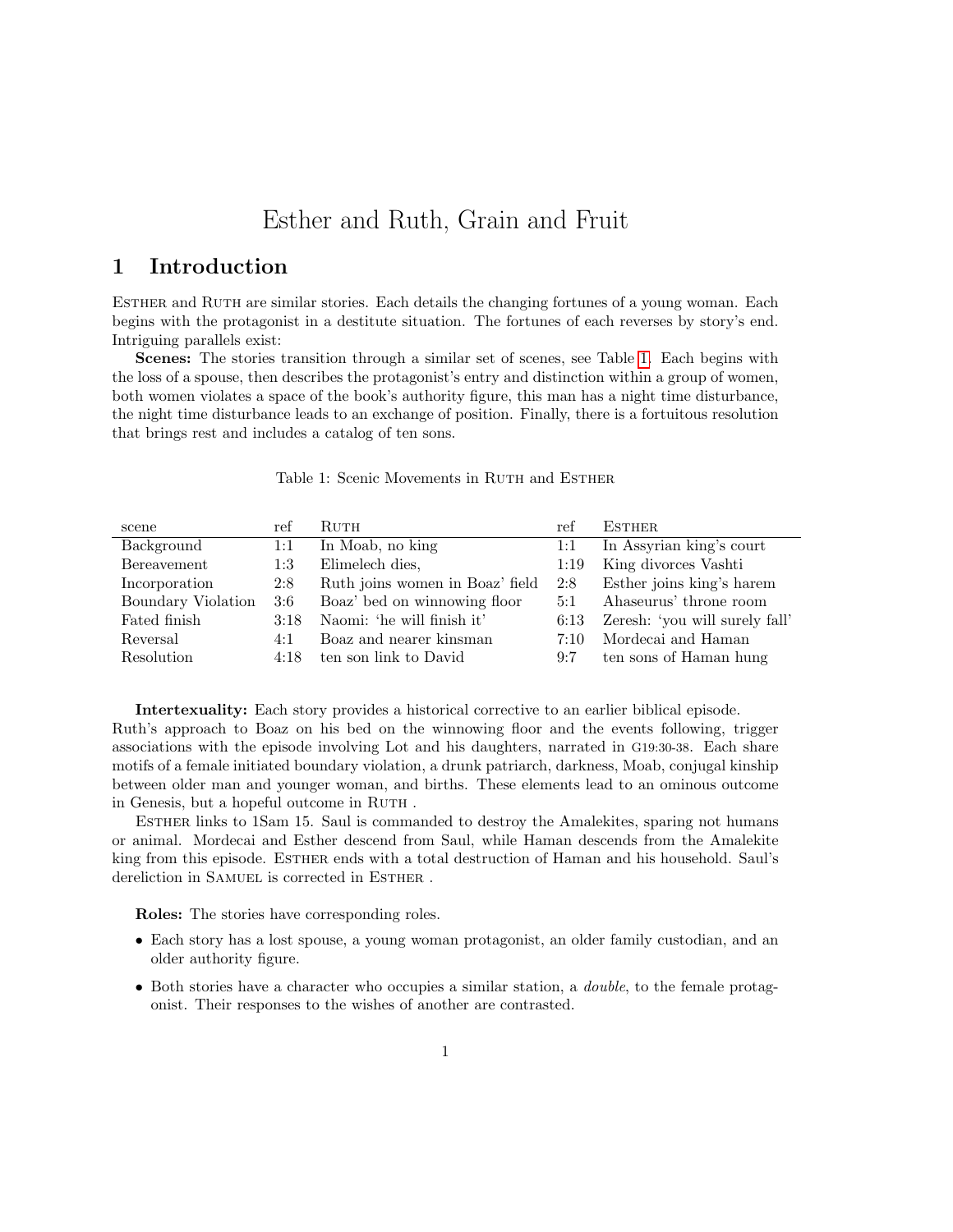# Esther and Ruth, Grain and Fruit

## 1 Introduction

Esther and Ruth are similar stories. Each details the changing fortunes of a young woman. Each begins with the protagonist in a destitute situation. The fortunes of each reverses by story's end. Intriguing parallels exist:

Scenes: The stories transition through a similar set of scenes, see Table [1.](#page-0-0) Each begins with the loss of a spouse, then describes the protagonist's entry and distinction within a group of women, both women violates a space of the book's authority figure, this man has a night time disturbance, the night time disturbance leads to an exchange of position. Finally, there is a fortuitous resolution that brings rest and includes a catalog of ten sons.

#### <span id="page-0-0"></span>Table 1: Scenic Movements in RUTH and ESTHER

| scene              | ref  | <b>RUTH</b>                     | ref        | <b>ESTHER</b>                  |
|--------------------|------|---------------------------------|------------|--------------------------------|
| Background         | 1:1  | In Moab, no king                | 1:1        | In Assyrian king's court       |
| Bereavement        | 1:3  | Elimelech dies,                 | 1:19       | King divorces Vashti           |
| Incorporation      | 2:8  | Ruth joins women in Boaz' field | 2:8        | Esther joins king's harem      |
| Boundary Violation | 3:6  | Boaz' bed on winnowing floor    | 5:1        | Ahaseurus' throne room         |
| Fated finish       | 3:18 | Naomi: 'he will finish it'      | 6:13       | Zeresh: 'you will surely fall' |
| Reversal           | 4:1  | Boaz and nearer kinsman         | $7:10^{-}$ | Mordecai and Haman             |
| Resolution         | 4:18 | ten son link to David           | 9:7        | ten sons of Haman hung         |
|                    |      |                                 |            |                                |

Intertexuality: Each story provides a historical corrective to an earlier biblical episode. Ruth's approach to Boaz on his bed on the winnowing floor and the events following, trigger associations with the episode involving Lot and his daughters, narrated in G19:30-38. Each share motifs of a female initiated boundary violation, a drunk patriarch, darkness, Moab, conjugal kinship between older man and younger woman, and births. These elements lead to an ominous outcome in Genesis, but a hopeful outcome in RUTH.

Esther links to 1Sam 15. Saul is commanded to destroy the Amalekites, sparing not humans or animal. Mordecai and Esther descend from Saul, while Haman descends from the Amalekite king from this episode. ESTHER ends with a total destruction of Haman and his household. Saul's dereliction in SAMUEL is corrected in ESTHER.

Roles: The stories have corresponding roles.

- Each story has a lost spouse, a young woman protagonist, an older family custodian, and an older authority figure.
- Both stories have a character who occupies a similar station, a *double*, to the female protagonist. Their responses to the wishes of another are contrasted.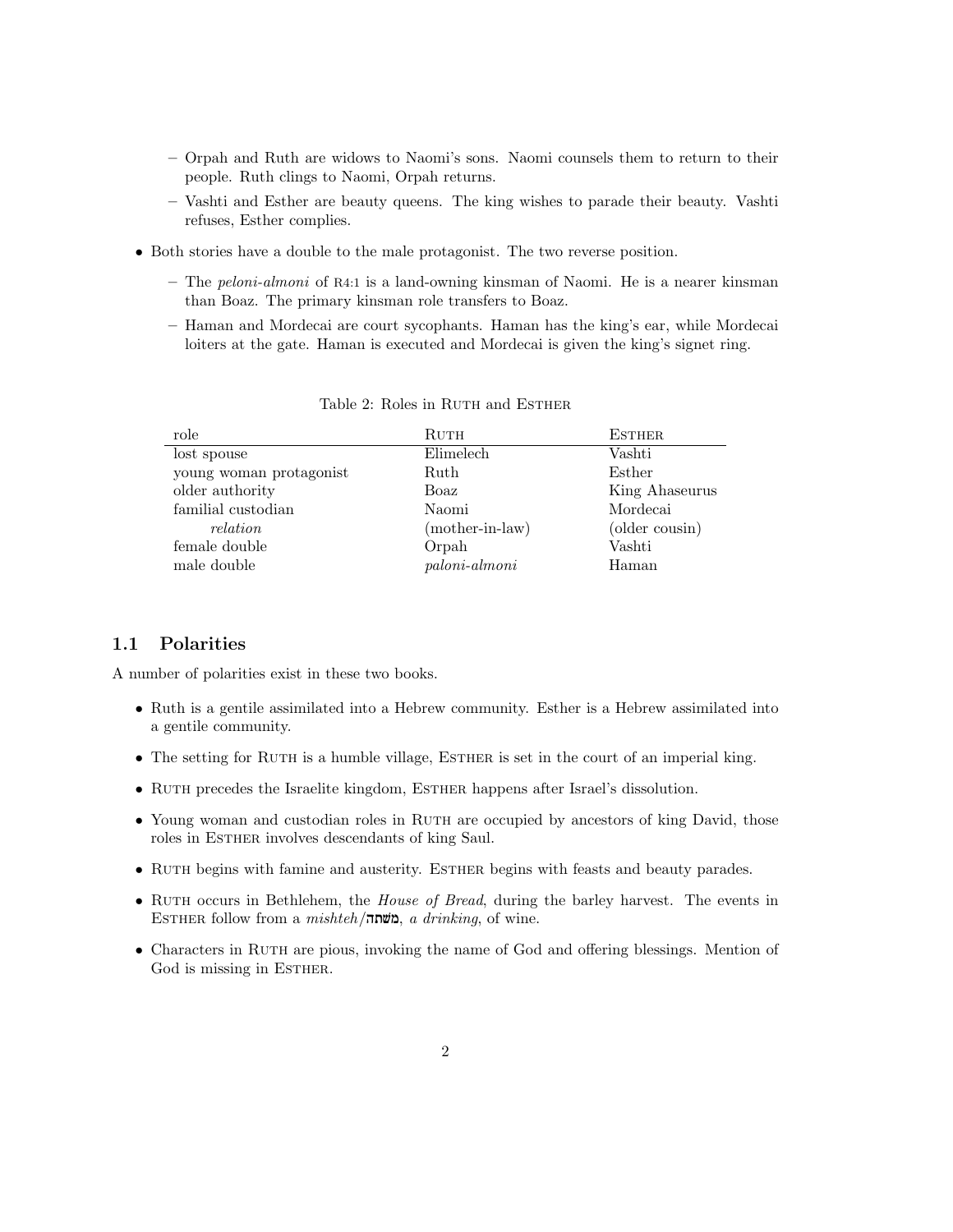- Orpah and Ruth are widows to Naomi's sons. Naomi counsels them to return to their people. Ruth clings to Naomi, Orpah returns.
- Vashti and Esther are beauty queens. The king wishes to parade their beauty. Vashti refuses, Esther complies.
- Both stories have a double to the male protagonist. The two reverse position.
	- $-$  The *peloni-almoni* of R4:1 is a land-owning kinsman of Naomi. He is a nearer kinsman than Boaz. The primary kinsman role transfers to Boaz.
	- Haman and Mordecai are court sycophants. Haman has the king's ear, while Mordecai loiters at the gate. Haman is executed and Mordecai is given the king's signet ring.

| role                    | Ruth                   | <b>ESTHER</b>  |
|-------------------------|------------------------|----------------|
| lost spouse             | Elimelech              | Vashti         |
| young woman protagonist | Ruth                   | Esther         |
| older authority         | Boaz                   | King Ahaseurus |
| familial custodian      | Naomi                  | Mordecai       |
| <i>relation</i>         | $(mother-in-law)$      | (older cousin) |
| female double           | Orpah                  | Vashti         |
| male double             | $paloni\text{-}almoni$ | Haman          |

Table 2: Roles in RUTH and ESTHER

## 1.1 Polarities

A number of polarities exist in these two books.

- Ruth is a gentile assimilated into a Hebrew community. Esther is a Hebrew assimilated into a gentile community.
- The setting for RUTH is a humble village, ESTHER is set in the court of an imperial king.
- RUTH precedes the Israelite kingdom, ESTHER happens after Israel's dissolution.
- Young woman and custodian roles in RUTH are occupied by ancestors of king David, those roles in ESTHER involves descendants of king Saul.
- RUTH begins with famine and austerity. ESTHER begins with feasts and beauty parades.
- RUTH occurs in Bethlehem, the *House of Bread*, during the barley harvest. The events in  $E$ STHER follow from a *mishteh*/משתה, a drinking, of wine.
- Characters in RUTH are pious, invoking the name of God and offering blessings. Mention of God is missing in ESTHER.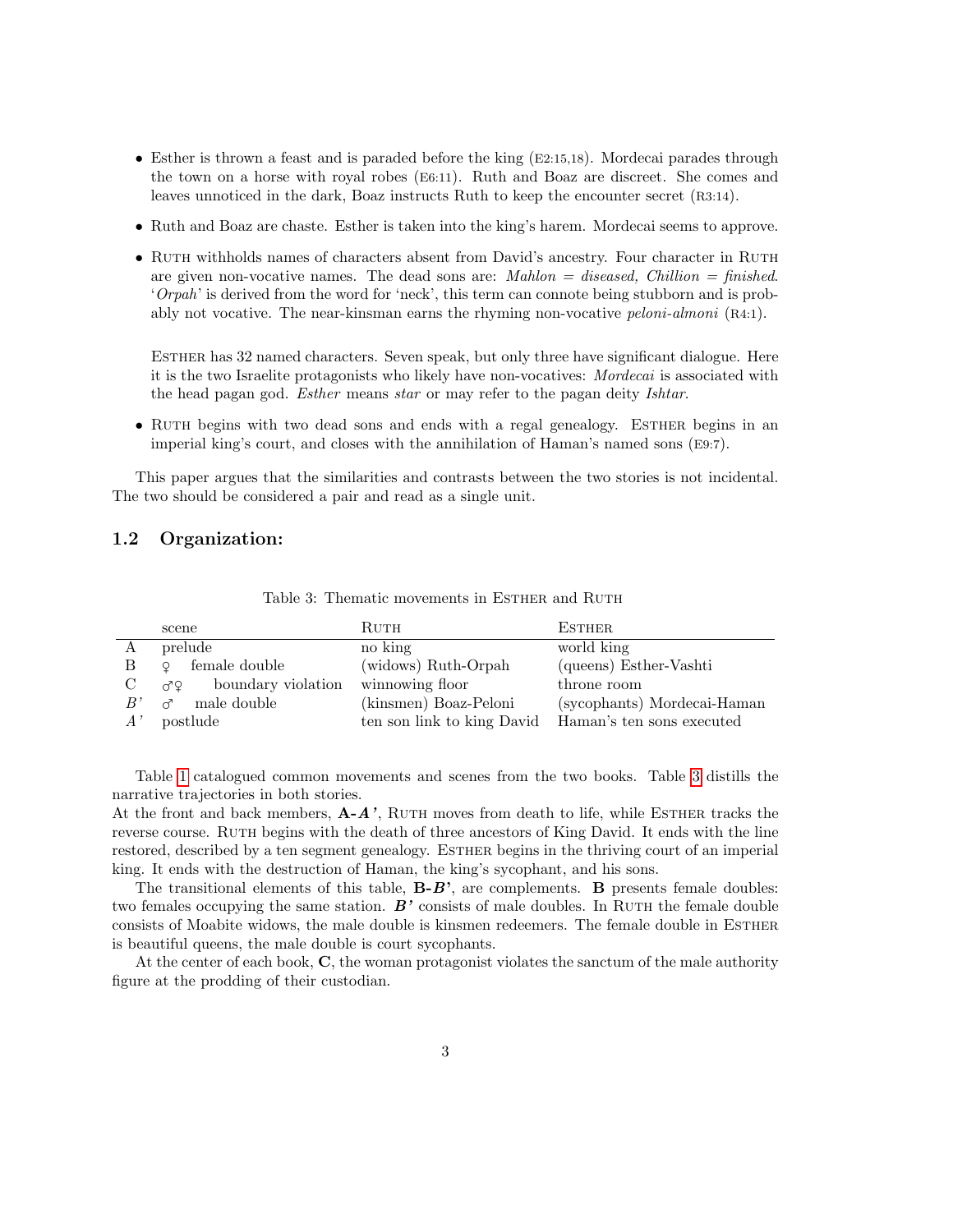- Esther is thrown a feast and is paraded before the king (E2:15,18). Mordecai parades through the town on a horse with royal robes (E6:11). Ruth and Boaz are discreet. She comes and leaves unnoticed in the dark, Boaz instructs Ruth to keep the encounter secret (R3:14).
- Ruth and Boaz are chaste. Esther is taken into the king's harem. Mordecai seems to approve.
- RUTH withholds names of characters absent from David's ancestry. Four character in RUTH are given non-vocative names. The dead sons are:  $Mahlon = diseaseed$ , Chillion = finished. 'Orpah' is derived from the word for 'neck', this term can connote being stubborn and is probably not vocative. The near-kinsman earns the rhyming non-vocative peloni-almoni (R4:1).

Esther has 32 named characters. Seven speak, but only three have significant dialogue. Here it is the two Israelite protagonists who likely have non-vocatives: Mordecai is associated with the head pagan god. Esther means star or may refer to the pagan deity Ishtar.

• RUTH begins with two dead sons and ends with a regal genealogy. ESTHER begins in an imperial king's court, and closes with the annihilation of Haman's named sons (E9:7).

This paper argues that the similarities and contrasts between the two stories is not incidental. The two should be considered a pair and read as a single unit.

#### 1.2 Organization:

|              | scene                    | RUTH                       | <b>ESTHER</b>               |
|--------------|--------------------------|----------------------------|-----------------------------|
| А            | prelude                  | no king                    | world king                  |
| B            | female double<br>$\circ$ | (widows) Ruth-Orpah        | (queens) Esther-Vashti      |
| $\rm C$      | boundary violation<br>ďΫ | winnowing floor            | throne room                 |
| B'           | male double<br>ೆ         | (kinsmen) Boaz-Peloni      | (sycophants) Mordecai-Haman |
| $A^{\prime}$ | postlude                 | ten son link to king David | Haman's ten sons executed   |

<span id="page-2-0"></span>Table 3: Thematic movements in ESTHER and RUTH

Table [1](#page-0-0) catalogued common movements and scenes from the two books. Table [3](#page-2-0) distills the narrative trajectories in both stories.

At the front and back members,  $\mathbf{A} - \mathbf{A}'$ , RUTH moves from death to life, while ESTHER tracks the reverse course. RUTH begins with the death of three ancestors of King David. It ends with the line restored, described by a ten segment genealogy. ESTHER begins in the thriving court of an imperial king. It ends with the destruction of Haman, the king's sycophant, and his sons.

The transitional elements of this table,  $\mathbf{B} - \mathbf{B}'$ , are complements.  $\mathbf{B}$  presents female doubles: two females occupying the same station.  $B'$  consists of male doubles. In RUTH the female double consists of Moabite widows, the male double is kinsmen redeemers. The female double in ESTHER is beautiful queens, the male double is court sycophants.

At the center of each book, C, the woman protagonist violates the sanctum of the male authority figure at the prodding of their custodian.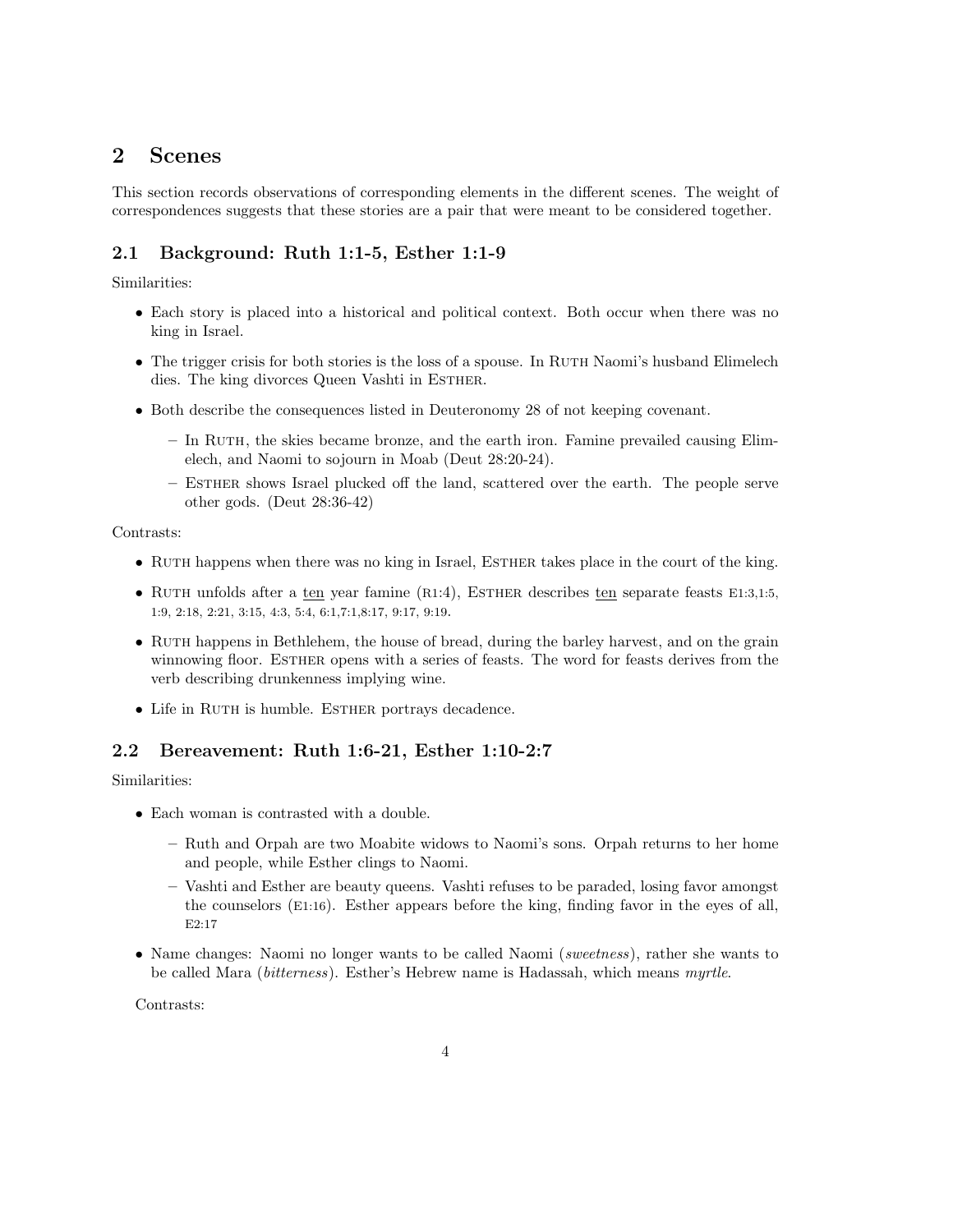# 2 Scenes

This section records observations of corresponding elements in the different scenes. The weight of correspondences suggests that these stories are a pair that were meant to be considered together.

## 2.1 Background: Ruth 1:1-5, Esther 1:1-9

Similarities:

- Each story is placed into a historical and political context. Both occur when there was no king in Israel.
- The trigger crisis for both stories is the loss of a spouse. In RUTH Naomi's husband Elimelech dies. The king divorces Queen Vashti in ESTHER.
- Both describe the consequences listed in Deuteronomy 28 of not keeping covenant.
	- In Ruth, the skies became bronze, and the earth iron. Famine prevailed causing Elimelech, and Naomi to sojourn in Moab (Deut 28:20-24).
	- Esther shows Israel plucked off the land, scattered over the earth. The people serve other gods. (Deut 28:36-42)

Contrasts:

- RUTH happens when there was no king in Israel, ESTHER takes place in the court of the king.
- RUTH unfolds after a ten year famine (R1:4), ESTHER describes ten separate feasts E1:3,1:5, 1:9, 2:18, 2:21, 3:15, 4:3, 5:4, 6:1,7:1,8:17, 9:17, 9:19.
- RUTH happens in Bethlehem, the house of bread, during the barley harvest, and on the grain winnowing floor. ESTHER opens with a series of feasts. The word for feasts derives from the verb describing drunkenness implying wine.
- Life in RUTH is humble. ESTHER portrays decadence.

## 2.2 Bereavement: Ruth 1:6-21, Esther 1:10-2:7

Similarities:

- Each woman is contrasted with a double.
	- Ruth and Orpah are two Moabite widows to Naomi's sons. Orpah returns to her home and people, while Esther clings to Naomi.
	- Vashti and Esther are beauty queens. Vashti refuses to be paraded, losing favor amongst the counselors (E1:16). Esther appears before the king, finding favor in the eyes of all, E2:17
- Name changes: Naomi no longer wants to be called Naomi (sweetness), rather she wants to be called Mara (bitterness). Esther's Hebrew name is Hadassah, which means myrtle.

Contrasts: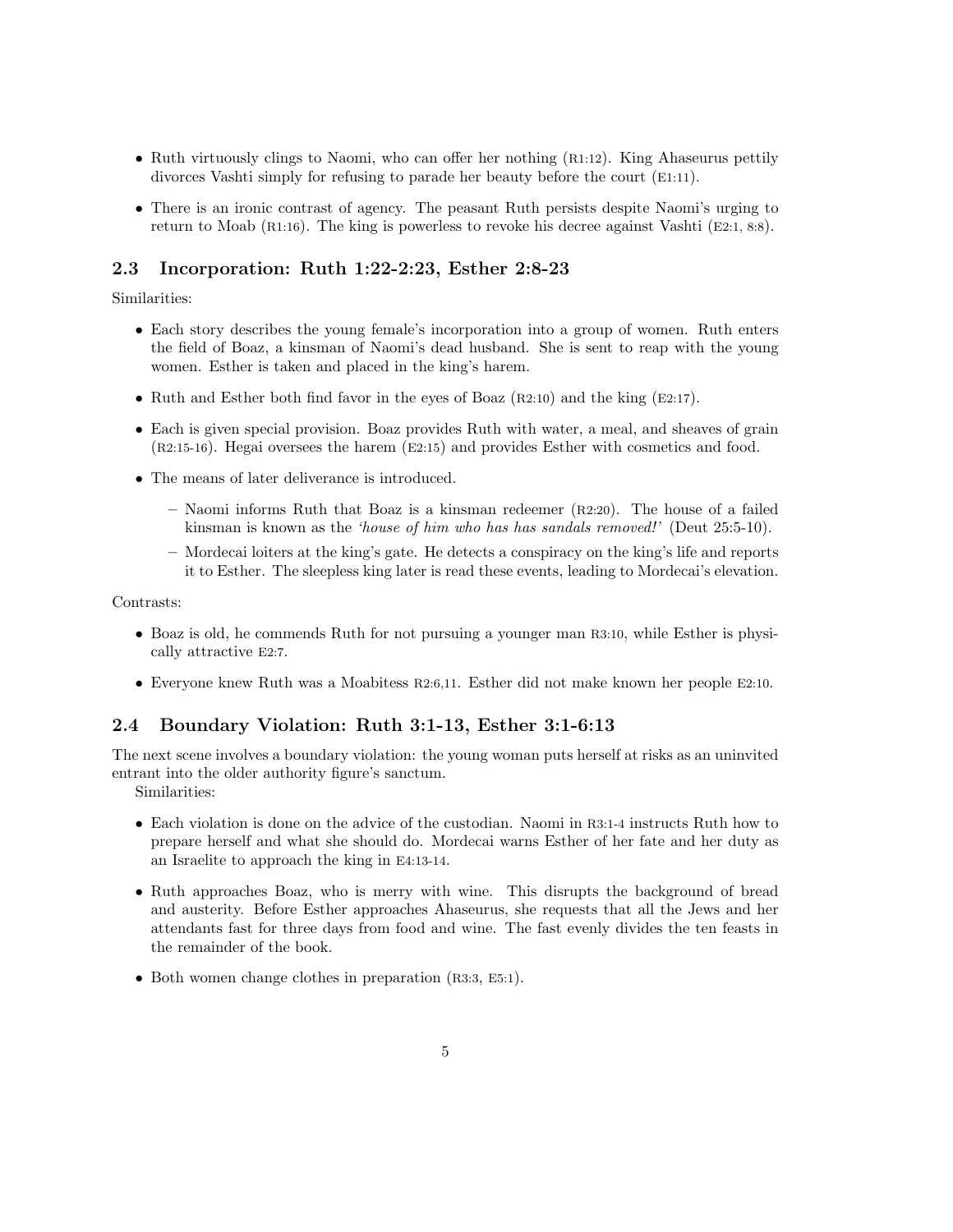- Ruth virtuously clings to Naomi, who can offer her nothing (R1:12). King Ahaseurus pettily divorces Vashti simply for refusing to parade her beauty before the court (E1:11).
- There is an ironic contrast of agency. The peasant Ruth persists despite Naomi's urging to return to Moab (R1:16). The king is powerless to revoke his decree against Vashti (E2:1, 8:8).

## 2.3 Incorporation: Ruth 1:22-2:23, Esther 2:8-23

Similarities:

- Each story describes the young female's incorporation into a group of women. Ruth enters the field of Boaz, a kinsman of Naomi's dead husband. She is sent to reap with the young women. Esther is taken and placed in the king's harem.
- Ruth and Esther both find favor in the eyes of Boaz (R2:10) and the king (E2:17).
- Each is given special provision. Boaz provides Ruth with water, a meal, and sheaves of grain (R2:15-16). Hegai oversees the harem (E2:15) and provides Esther with cosmetics and food.
- The means of later deliverance is introduced.
	- Naomi informs Ruth that Boaz is a kinsman redeemer (R2:20). The house of a failed kinsman is known as the 'house of him who has has sandals removed!' (Deut 25:5-10).
	- Mordecai loiters at the king's gate. He detects a conspiracy on the king's life and reports it to Esther. The sleepless king later is read these events, leading to Mordecai's elevation.

Contrasts:

- Boaz is old, he commends Ruth for not pursuing a younger man R3:10, while Esther is physically attractive E2:7.
- Everyone knew Ruth was a Moabitess R2:6,11. Esther did not make known her people E2:10.

#### 2.4 Boundary Violation: Ruth 3:1-13, Esther 3:1-6:13

The next scene involves a boundary violation: the young woman puts herself at risks as an uninvited entrant into the older authority figure's sanctum.

Similarities:

- Each violation is done on the advice of the custodian. Naomi in R3:1-4 instructs Ruth how to prepare herself and what she should do. Mordecai warns Esther of her fate and her duty as an Israelite to approach the king in E4:13-14.
- Ruth approaches Boaz, who is merry with wine. This disrupts the background of bread and austerity. Before Esther approaches Ahaseurus, she requests that all the Jews and her attendants fast for three days from food and wine. The fast evenly divides the ten feasts in the remainder of the book.
- Both women change clothes in preparation (R3:3, E5:1).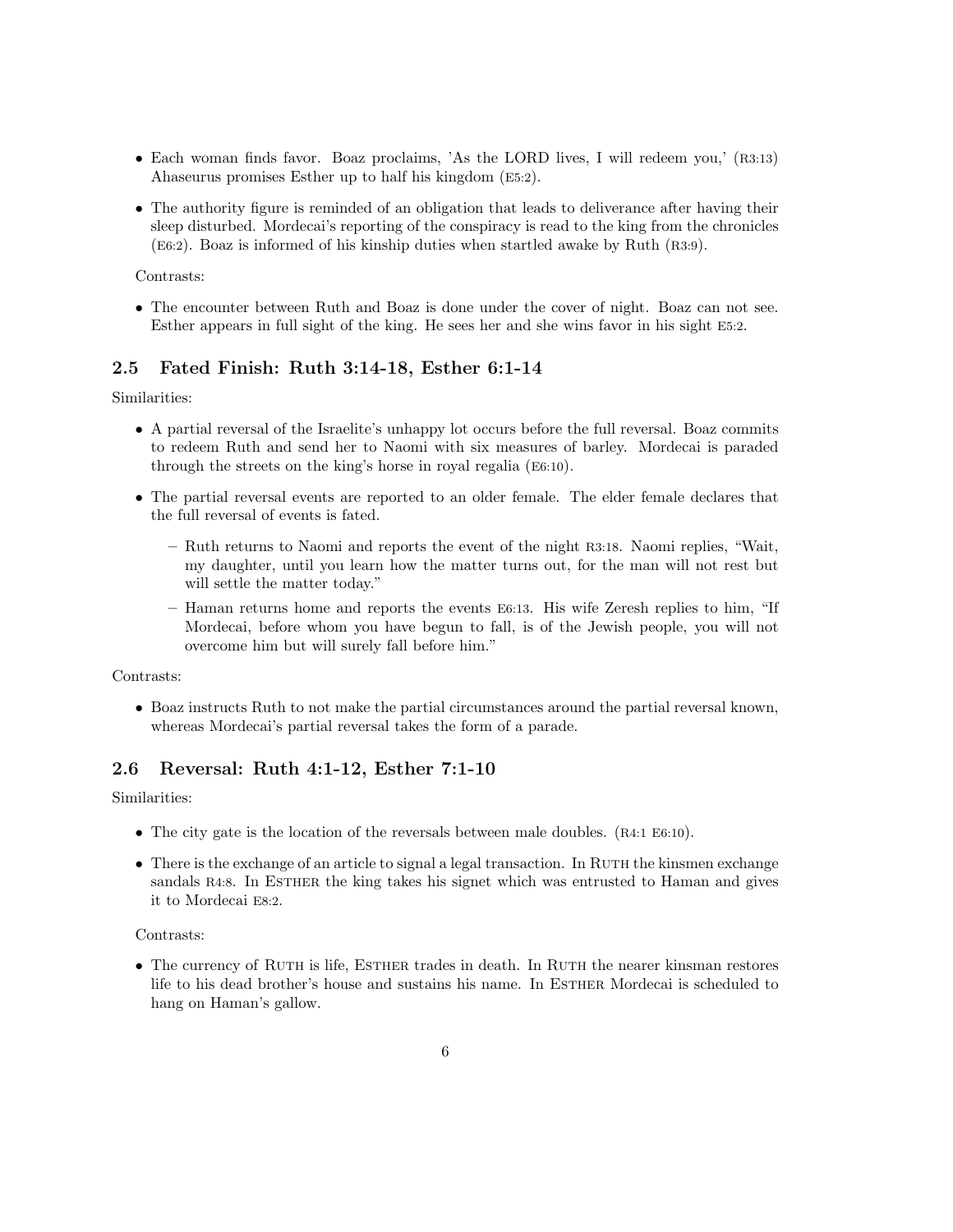- Each woman finds favor. Boaz proclaims, 'As the LORD lives, I will redeem you,' (R3:13) Ahaseurus promises Esther up to half his kingdom (E5:2).
- The authority figure is reminded of an obligation that leads to deliverance after having their sleep disturbed. Mordecai's reporting of the conspiracy is read to the king from the chronicles (E6:2). Boaz is informed of his kinship duties when startled awake by Ruth (R3:9).

#### Contrasts:

• The encounter between Ruth and Boaz is done under the cover of night. Boaz can not see. Esther appears in full sight of the king. He sees her and she wins favor in his sight E5:2.

### 2.5 Fated Finish: Ruth 3:14-18, Esther 6:1-14

Similarities:

- A partial reversal of the Israelite's unhappy lot occurs before the full reversal. Boaz commits to redeem Ruth and send her to Naomi with six measures of barley. Mordecai is paraded through the streets on the king's horse in royal regalia (E6:10).
- The partial reversal events are reported to an older female. The elder female declares that the full reversal of events is fated.
	- Ruth returns to Naomi and reports the event of the night R3:18. Naomi replies, "Wait, my daughter, until you learn how the matter turns out, for the man will not rest but will settle the matter today."
	- Haman returns home and reports the events E6:13. His wife Zeresh replies to him, "If Mordecai, before whom you have begun to fall, is of the Jewish people, you will not overcome him but will surely fall before him."

Contrasts:

• Boaz instructs Ruth to not make the partial circumstances around the partial reversal known, whereas Mordecai's partial reversal takes the form of a parade.

## 2.6 Reversal: Ruth 4:1-12, Esther 7:1-10

Similarities:

- The city gate is the location of the reversals between male doubles. (R4:1 E6:10).
- $\bullet$  There is the exchange of an article to signal a legal transaction. In RUTH the kinsmen exchange sandals R4:8. In ESTHER the king takes his signet which was entrusted to Haman and gives it to Mordecai E8:2.

#### Contrasts:

• The currency of RUTH is life, ESTHER trades in death. In RUTH the nearer kinsman restores life to his dead brother's house and sustains his name. In ESTHER Mordecai is scheduled to hang on Haman's gallow.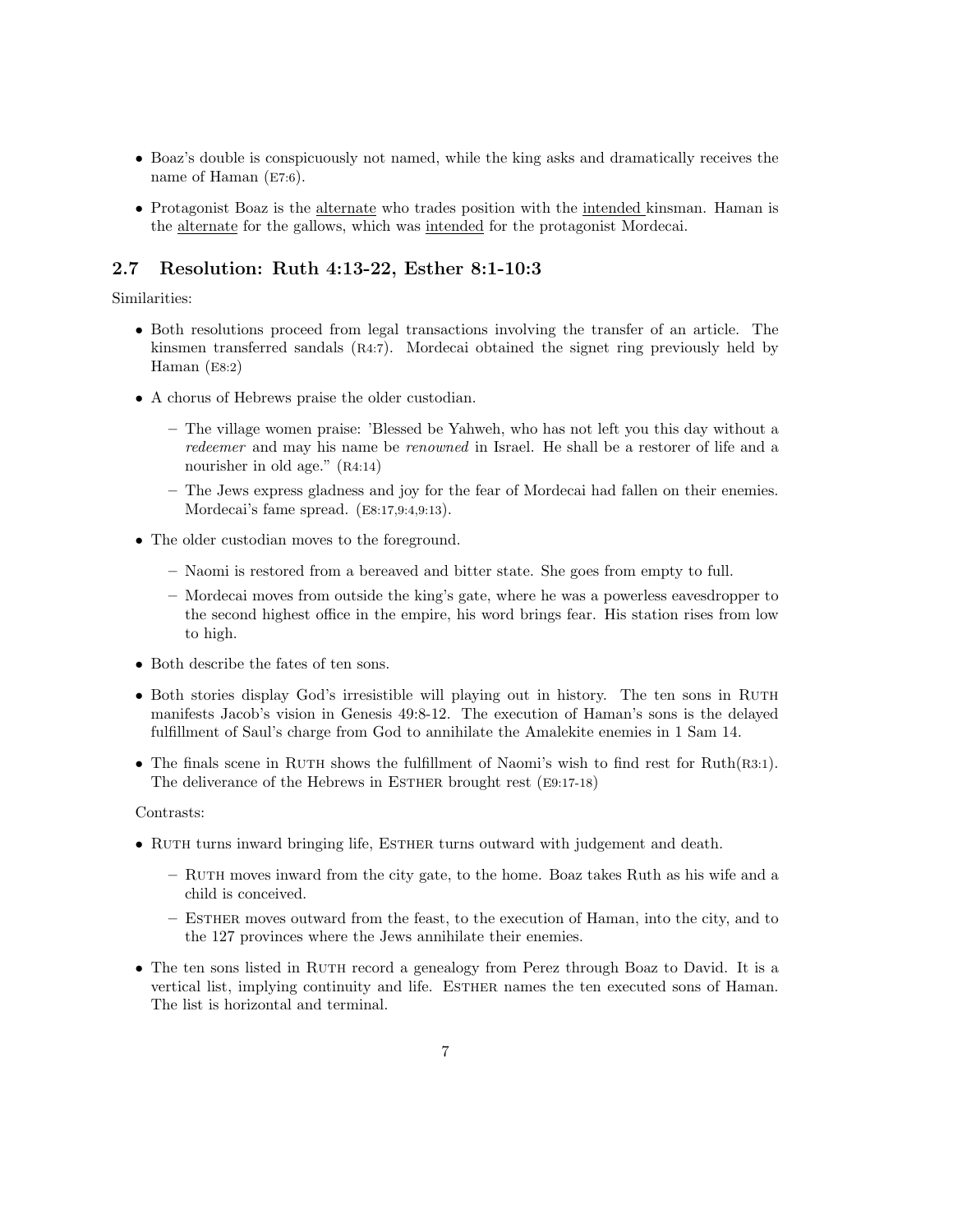- Boaz's double is conspicuously not named, while the king asks and dramatically receives the name of Haman (E7:6).
- Protagonist Boaz is the alternate who trades position with the intended kinsman. Haman is the alternate for the gallows, which was intended for the protagonist Mordecai.

### 2.7 Resolution: Ruth 4:13-22, Esther 8:1-10:3

#### Similarities:

- Both resolutions proceed from legal transactions involving the transfer of an article. The kinsmen transferred sandals (R4:7). Mordecai obtained the signet ring previously held by Haman (E8:2)
- A chorus of Hebrews praise the older custodian.
	- The village women praise: 'Blessed be Yahweh, who has not left you this day without a redeemer and may his name be renowned in Israel. He shall be a restorer of life and a nourisher in old age." (R4:14)
	- The Jews express gladness and joy for the fear of Mordecai had fallen on their enemies. Mordecai's fame spread. (E8:17,9:4,9:13).
- The older custodian moves to the foreground.
	- Naomi is restored from a bereaved and bitter state. She goes from empty to full.
	- Mordecai moves from outside the king's gate, where he was a powerless eavesdropper to the second highest office in the empire, his word brings fear. His station rises from low to high.
- Both describe the fates of ten sons.
- Both stories display God's irresistible will playing out in history. The ten sons in RUTH manifests Jacob's vision in Genesis 49:8-12. The execution of Haman's sons is the delayed fulfillment of Saul's charge from God to annihilate the Amalekite enemies in 1 Sam 14.
- The finals scene in RUTH shows the fulfillment of Naomi's wish to find rest for Ruth(R3:1). The deliverance of the Hebrews in ESTHER brought rest (E9:17-18)

#### Contrasts:

- RUTH turns inward bringing life, ESTHER turns outward with judgement and death.
	- Ruth moves inward from the city gate, to the home. Boaz takes Ruth as his wife and a child is conceived.
	- Esther moves outward from the feast, to the execution of Haman, into the city, and to the 127 provinces where the Jews annihilate their enemies.
- The ten sons listed in RUTH record a genealogy from Perez through Boaz to David. It is a vertical list, implying continuity and life. ESTHER names the ten executed sons of Haman. The list is horizontal and terminal.